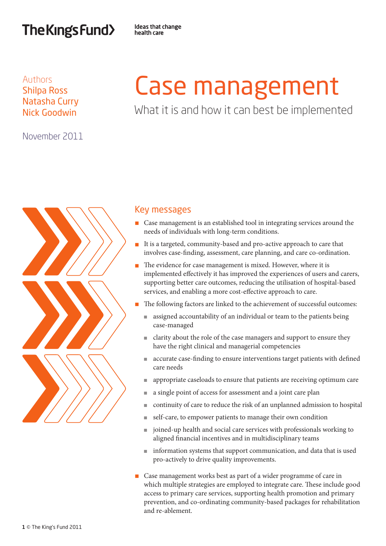## The Kings Fund>

**Ideas that change** health care

## Authors Shilpa Ross Natasha Curry Nick Goodwin

November 2011

# Case management

What it is and how it can best be implemented



## Key messages

- Case management is an established tool in integrating services around the needs of individuals with long-term conditions.
- n It is a targeted, community-based and pro-active approach to care that involves case-finding, assessment, care planning, and care co-ordination.
- The evidence for case management is mixed. However, where it is implemented effectively it has improved the experiences of users and carers, supporting better care outcomes, reducing the utilisation of hospital-based services, and enabling a more cost-effective approach to care.
- n The following factors are linked to the achievement of successful outcomes:
	- <sup>n</sup> assigned accountability of an individual or team to the patients being case-managed
	- <sup>n</sup> clarity about the role of the case managers and support to ensure they have the right clinical and managerial competencies
	- <sup>n</sup> accurate case-finding to ensure interventions target patients with defined care needs
	- <sup>n</sup> appropriate caseloads to ensure that patients are receiving optimum care
	- <sup>n</sup> a single point of access for assessment and a joint care plan
	- <sup>n</sup> continuity of care to reduce the risk of an unplanned admission to hospital
	- <sup>n</sup> self-care, to empower patients to manage their own condition
	- $\Box$  joined-up health and social care services with professionals working to aligned financial incentives and in multidisciplinary teams
	- information systems that support communication, and data that is used pro-actively to drive quality improvements.
- Case management works best as part of a wider programme of care in which multiple strategies are employed to integrate care. These include good access to primary care services, supporting health promotion and primary prevention, and co-ordinating community-based packages for rehabilitation and re-ablement.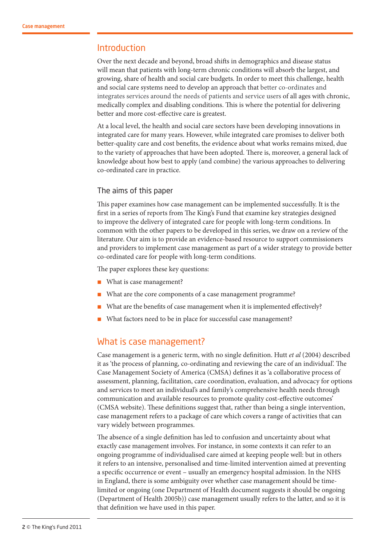## Introduction

Over the next decade and beyond, broad shifts in demographics and disease status will mean that patients with long-term chronic conditions will absorb the largest, and growing, share of health and social care budgets. In order to meet this challenge, health and social care systems need to develop an approach that better co-ordinates and integrates services around the needs of patients and service users of all ages with chronic, medically complex and disabling conditions. This is where the potential for delivering better and more cost-effective care is greatest.

At a local level, the health and social care sectors have been developing innovations in integrated care for many years. However, while integrated care promises to deliver both better-quality care and cost benefits, the evidence about what works remains mixed, due to the variety of approaches that have been adopted. There is, moreover, a general lack of knowledge about how best to apply (and combine) the various approaches to delivering co-ordinated care in practice.

#### The aims of this paper

This paper examines how case management can be implemented successfully. It is the first in a series of reports from The King's Fund that examine key strategies designed to improve the delivery of integrated care for people with long-term conditions. In common with the other papers to be developed in this series, we draw on a review of the literature. Our aim is to provide an evidence-based resource to support commissioners and providers to implement case management as part of a wider strategy to provide better co-ordinated care for people with long-term conditions.

The paper explores these key questions:

- What is case management?
- What are the core components of a case management programme?
- What are the benefits of case management when it is implemented effectively?
- What factors need to be in place for successful case management?

## What is case management?

Case management is a generic term, with no single definition. Hutt *et al* (2004) described it as 'the process of planning, co-ordinating and reviewing the care of an individual'. The Case Management Society of America (CMSA) defines it as 'a collaborative process of assessment, planning, facilitation, care coordination, evaluation, and advocacy for options and services to meet an individual's and family's comprehensive health needs through communication and available resources to promote quality cost-effective outcomes' (CMSA website). These definitions suggest that, rather than being a single intervention, case management refers to a package of care which covers a range of activities that can vary widely between programmes.

The absence of a single definition has led to confusion and uncertainty about what exactly case management involves. For instance, in some contexts it can refer to an ongoing programme of individualised care aimed at keeping people well: but in others it refers to an intensive, personalised and time-limited intervention aimed at preventing a specific occurrence or event – usually an emergency hospital admission. In the NHS in England, there is some ambiguity over whether case management should be timelimited or ongoing (one Department of Health document suggests it should be ongoing (Department of Health 2005b)) case management usually refers to the latter, and so it is that definition we have used in this paper.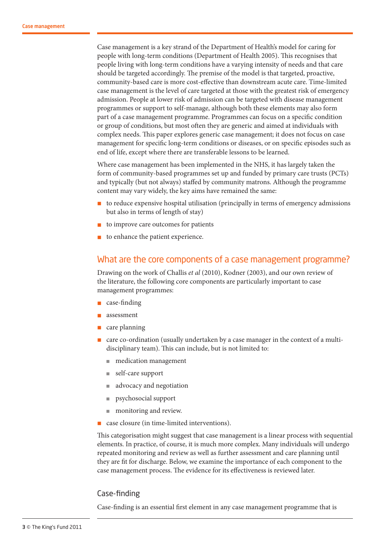Case management is a key strand of the Department of Health's model for caring for people with long-term conditions (Department of Health 2005). This recognises that people living with long-term conditions have a varying intensity of needs and that care should be targeted accordingly. The premise of the model is that targeted, proactive, community-based care is more cost-effective than downstream acute care. Time-limited case management is the level of care targeted at those with the greatest risk of emergency admission. People at lower risk of admission can be targeted with disease management programmes or support to self-manage, although both these elements may also form part of a case management programme. Programmes can focus on a specific condition or group of conditions, but most often they are generic and aimed at individuals with complex needs. This paper explores generic case management; it does not focus on case management for specific long-term conditions or diseases, or on specific episodes such as end of life, except where there are transferable lessons to be learned.

Where case management has been implemented in the NHS, it has largely taken the form of community-based programmes set up and funded by primary care trusts (PCTs) and typically (but not always) staffed by community matrons. Although the programme content may vary widely, the key aims have remained the same:

- $\blacksquare$  to reduce expensive hospital utilisation (principally in terms of emergency admissions but also in terms of length of stay)
- to improve care outcomes for patients
- to enhance the patient experience.

## What are the core components of a case management programme?

Drawing on the work of Challis *et al* (2010), Kodner (2003), and our own review of the literature, the following core components are particularly important to case management programmes:

- $\Box$  case-finding
- assessment
- care planning
- $\Box$  care co-ordination (usually undertaken by a case manager in the context of a multidisciplinary team). This can include, but is not limited to:
	- medication management
	- $\blacksquare$  self-care support
	- advocacy and negotiation
	- <sup>n</sup> psychosocial support
	- monitoring and review.
- case closure (in time-limited interventions).

This categorisation might suggest that case management is a linear process with sequential elements. In practice, of course, it is much more complex. Many individuals will undergo repeated monitoring and review as well as further assessment and care planning until they are fit for discharge. Below, we examine the importance of each component to the case management process. The evidence for its effectiveness is reviewed later.

#### Case-finding

Case-finding is an essential first element in any case management programme that is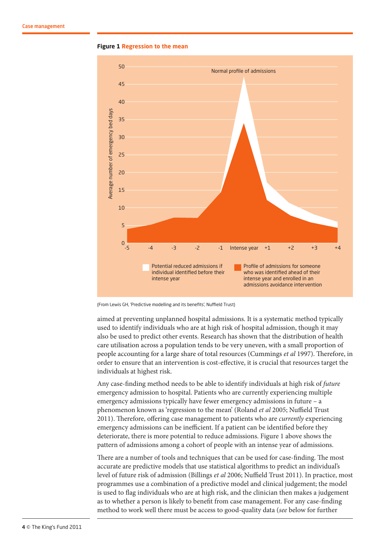



(From Lewis GH, 'Predictive modelling and its benefits', Nuffield Trust)

aimed at preventing unplanned hospital admissions. It is a systematic method typically used to identify individuals who are at high risk of hospital admission, though it may also be used to predict other events. Research has shown that the distribution of health care utilisation across a population tends to be very uneven, with a small proportion of people accounting for a large share of total resources (Cummings *et al* 1997). Therefore, in order to ensure that an intervention is cost-effective, it is crucial that resources target the individuals at highest risk.

Any case-finding method needs to be able to identify individuals at high risk of *future* emergency admission to hospital. Patients who are currently experiencing multiple emergency admissions typically have fewer emergency admissions in future – a phenomenon known as 'regression to the mean' (Roland *et al* 2005; Nuffield Trust 2011). Therefore, offering case management to patients who are *currently* experiencing emergency admissions can be inefficient. If a patient can be identified before they deteriorate, there is more potential to reduce admissions. Figure 1 above shows the pattern of admissions among a cohort of people with an intense year of admissions.

There are a number of tools and techniques that can be used for case-finding. The most accurate are predictive models that use statistical algorithms to predict an individual's level of future risk of admission (Billings *et al* 2006; Nuffield Trust 2011). In practice, most programmes use a combination of a predictive model and clinical judgement; the model is used to flag individuals who are at high risk, and the clinician then makes a judgement as to whether a person is likely to benefit from case management. For any case-finding method to work well there must be access to good-quality data (*see* below for further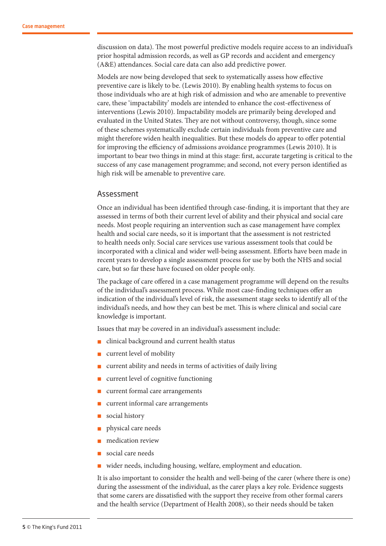discussion on data). The most powerful predictive models require access to an individual's prior hospital admission records, as well as GP records and accident and emergency (A&E) attendances. Social care data can also add predictive power.

Models are now being developed that seek to systematically assess how effective preventive care is likely to be. (Lewis 2010). By enabling health systems to focus on those individuals who are at high risk of admission and who are amenable to preventive care, these 'impactability' models are intended to enhance the cost-effectiveness of interventions (Lewis 2010). Impactability models are primarily being developed and evaluated in the United States. They are not without controversy, though, since some of these schemes systematically exclude certain individuals from preventive care and might therefore widen health inequalities. But these models do appear to offer potential for improving the efficiency of admissions avoidance programmes (Lewis 2010). It is important to bear two things in mind at this stage: first, accurate targeting is critical to the success of any case management programme; and second, not every person identified as high risk will be amenable to preventive care.

#### Assessment

Once an individual has been identified through case-finding, it is important that they are assessed in terms of both their current level of ability and their physical and social care needs. Most people requiring an intervention such as case management have complex health and social care needs, so it is important that the assessment is not restricted to health needs only. Social care services use various assessment tools that could be incorporated with a clinical and wider well-being assessment. Efforts have been made in recent years to develop a single assessment process for use by both the NHS and social care, but so far these have focused on older people only.

The package of care offered in a case management programme will depend on the results of the individual's assessment process. While most case-finding techniques offer an indication of the individual's level of risk, the assessment stage seeks to identify all of the individual's needs, and how they can best be met. This is where clinical and social care knowledge is important.

Issues that may be covered in an individual's assessment include:

- n clinical background and current health status
- current level of mobility
- current ability and needs in terms of activities of daily living
- current level of cognitive functioning
- current formal care arrangements
- current informal care arrangements
- social history
- physical care needs
- medication review
- social care needs
- wider needs, including housing, welfare, employment and education.

It is also important to consider the health and well-being of the carer (where there is one) during the assessment of the individual, as the carer plays a key role. Evidence suggests that some carers are dissatisfied with the support they receive from other formal carers and the health service (Department of Health 2008), so their needs should be taken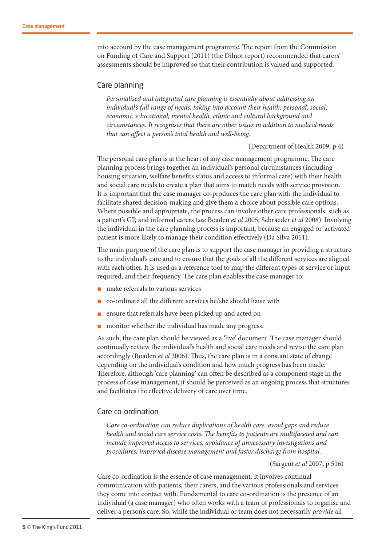into account by the case management programme. The report from the Commission on Funding of Care and Support (2011) (the Dilnot report) recommended that carers' assessments should be improved so that their contribution is valued and supported.

#### Care planning

*Personalised and integrated care planning is essentially about addressing an individual's full range of needs, taking into account their health, personal, social, economic, educational, mental health, ethnic and cultural background and circumstances. It recognises that there are other issues in addition to medical needs that can affect a person's total health and well-being.*

(Department of Health 2009, p 4)

The personal care plan is at the heart of any case management programme. The care planning process brings together an individual's personal circumstances (including housing situation, welfare benefits status and access to informal care) with their health and social care needs to create a plan that aims to match needs with service provision. It is important that the case manager co-produces the care plan with the individual to facilitate shared decision-making and give them a choice about possible care options. Where possible and appropriate, the process can involve other care professionals, such as a patient's GP, and informal carers (*see* Boaden *et al* 2005; Schraeder *et al* 2008). Involving the individual in the care planning process is important, because an engaged or 'activated' patient is more likely to manage their condition effectively (Da Silva 2011).

The main purpose of the care plan is to support the case manager in providing a structure to the individual's care and to ensure that the goals of all the different services are aligned with each other. It is used as a reference tool to map the different types of service or input required, and their frequency. The care plan enables the case manager to:

- n make referrals to various services
- co-ordinate all the different services he/she should liaise with
- n ensure that referrals have been picked up and acted on
- monitor whether the individual has made any progress.

As such, the care plan should be viewed as a 'live' document. The case manager should continually review the individual's health and social care needs and revise the care plan accordingly (Boaden *et al* 2006). Thus, the care plan is in a constant state of change depending on the individual's condition and how much progress has been made. Therefore, although 'care planning' can often be described as a component stage in the process of case management, it should be perceived as an ongoing process that structures and facilitates the effective delivery of care over time.

#### Care co-ordination

*Care co-ordination can reduce duplications of health care, avoid gaps and reduce health and social care service costs. The benefits to patients are multifaceted and can include improved access to services, avoidance of unnecessary investigations and procedures, improved disease management and faster discharge from hospital.* 

(Sargent *et al* 2007, p 516)

Care co-ordination is the essence of case management. It involves continual communication with patients, their carers, and the various professionals and services they come into contact with. Fundamental to care co-ordination is the presence of an individual (a case manager) who often works with a team of professionals to organise and deliver a person's care. So, while the individual or team does not necessarily *provide* all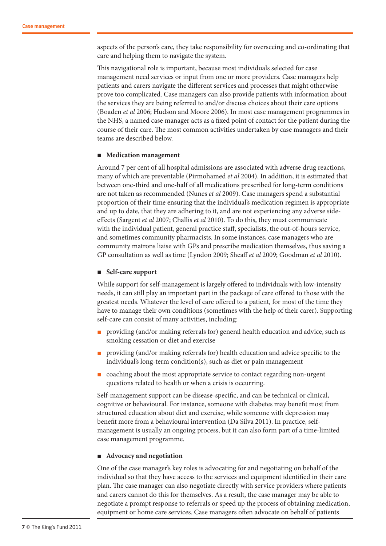aspects of the person's care, they take responsibility for overseeing and co-ordinating that care and helping them to navigate the system.

This navigational role is important, because most individuals selected for case management need services or input from one or more providers. Case managers help patients and carers navigate the different services and processes that might otherwise prove too complicated. Case managers can also provide patients with information about the services they are being referred to and/or discuss choices about their care options (Boaden *et al* 2006; Hudson and Moore 2006). In most case management programmes in the NHS, a named case manager acts as a fixed point of contact for the patient during the course of their care. The most common activities undertaken by case managers and their teams are described below.

#### ■ Medication management

Around 7 per cent of all hospital admissions are associated with adverse drug reactions, many of which are preventable (Pirmohamed *et al* 2004). In addition, it is estimated that between one-third and one-half of all medications prescribed for long-term conditions are not taken as recommended (Nunes *et al* 2009). Case managers spend a substantial proportion of their time ensuring that the individual's medication regimen is appropriate and up to date, that they are adhering to it, and are not experiencing any adverse sideeffects (Sargent *et al* 2007; Challis *et al* 2010). To do this, they must communicate with the individual patient, general practice staff, specialists, the out-of-hours service, and sometimes community pharmacists. In some instances, case managers who are community matrons liaise with GPs and prescribe medication themselves, thus saving a GP consultation as well as time (Lyndon 2009; Sheaff *et al* 2009; Goodman *et al* 2010).

#### n **Self-care support**

While support for self-management is largely offered to individuals with low-intensity needs, it can still play an important part in the package of care offered to those with the greatest needs. Whatever the level of care offered to a patient, for most of the time they have to manage their own conditions (sometimes with the help of their carer). Supporting self-care can consist of many activities, including:

- n providing (and/or making referrals for) general health education and advice, such as smoking cessation or diet and exercise
- n providing (and/or making referrals for) health education and advice specific to the individual's long-term condition(s), such as diet or pain management
- n coaching about the most appropriate service to contact regarding non-urgent questions related to health or when a crisis is occurring.

Self-management support can be disease-specific, and can be technical or clinical, cognitive or behavioural. For instance, someone with diabetes may benefit most from structured education about diet and exercise, while someone with depression may benefit more from a behavioural intervention (Da Silva 2011). In practice, selfmanagement is usually an ongoing process, but it can also form part of a time-limited case management programme.

#### ■ **Advocacy** and negotiation

One of the case manager's key roles is advocating for and negotiating on behalf of the individual so that they have access to the services and equipment identified in their care plan. The case manager can also negotiate directly with service providers where patients and carers cannot do this for themselves. As a result, the case manager may be able to negotiate a prompt response to referrals or speed up the process of obtaining medication, equipment or home care services. Case managers often advocate on behalf of patients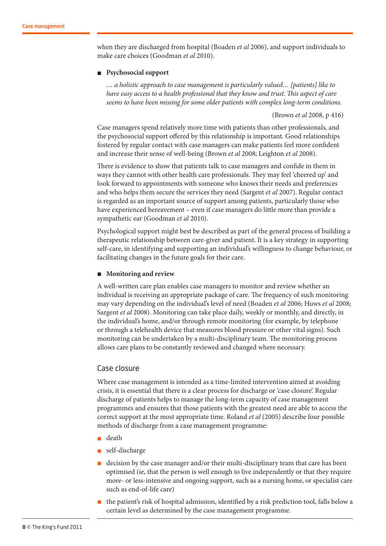when they are discharged from hospital (Boaden *et al* 2006), and support individuals to make care choices (Goodman *et al* 2010).

#### n **Psychosocial support**

*… a holistic approach to case management is particularly valued… [patients] like to have easy access to a health professional that they know and trust. This aspect of care seems to have been missing for some older patients with complex long-term conditions.* 

(Brown *et al* 2008, p 416)

Case managers spend relatively more time with patients than other professionals, and the psychosocial support offered by this relationship is important. Good relationships fostered by regular contact with case managers can make patients feel more confident and increase their sense of well-being (Brown *et al* 2008; Leighton *et al* 2008).

There is evidence to show that patients talk to case managers and confide in them in ways they cannot with other health care professionals. They may feel 'cheered up' and look forward to appointments with someone who knows their needs and preferences and who helps them secure the services they need (Sargent *et al* 2007). Regular contact is regarded as an important source of support among patients, particularly those who have experienced bereavement – even if case managers do little more than provide a sympathetic ear (Goodman *et al* 2010).

Psychological support might best be described as part of the general process of building a therapeutic relationship between care-giver and patient. It is a key strategy in supporting self-care, in identifying and supporting an individual's willingness to change behaviour, or facilitating changes in the future goals for their care.

#### **n** Monitoring and review

A well-written care plan enables case managers to monitor and review whether an individual is receiving an appropriate package of care. The frequency of such monitoring may vary depending on the individual's level of need (Boaden *et al* 2006; Huws *et al* 2008; Sargent *et al* 2008). Monitoring can take place daily, weekly or monthly, and directly, in the individual's home, and/or through remote monitoring (for example, by telephone or through a telehealth device that measures blood pressure or other vital signs). Such monitoring can be undertaken by a multi-disciplinary team. The monitoring process allows care plans to be constantly reviewed and changed where necessary.

#### Case closure

Where case management is intended as a time-limited intervention aimed at avoiding crisis, it is essential that there is a clear process for discharge or 'case closure'. Regular discharge of patients helps to manage the long-term capacity of case management programmes and ensures that those patients with the greatest need are able to access the correct support at the most appropriate time. Roland *et al* (2005) describe four possible methods of discharge from a case management programme:

- death
- self-discharge
- decision by the case manager and/or their multi-disciplinary team that care has been optimised (ie, that the person is well enough to live independently or that they require more- or less-intensive and ongoing support, such as a nursing home, or specialist care such as end-of-life care)
- $\blacksquare$  the patient's risk of hospital admission, identified by a risk prediction tool, falls below a certain level as determined by the case management programme.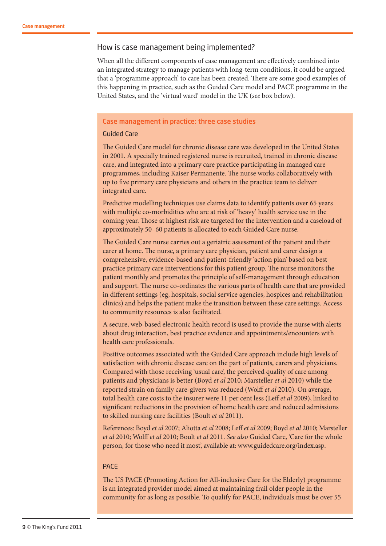#### How is case management being implemented?

When all the different components of case management are effectively combined into an integrated strategy to manage patients with long-term conditions, it could be argued that a 'programme approach' to care has been created. There are some good examples of this happening in practice, such as the Guided Care model and PACE programme in the United States, and the 'virtual ward' model in the UK (*see* box below).

#### Case management in practice: three case studies

#### Guided Care

The Guided Care model for chronic disease care was developed in the United States in 2001. A specially trained registered nurse is recruited, trained in chronic disease care, and integrated into a primary care practice participating in managed care programmes, including Kaiser Permanente. The nurse works collaboratively with up to five primary care physicians and others in the practice team to deliver integrated care.

Predictive modelling techniques use claims data to identify patients over 65 years with multiple co-morbidities who are at risk of 'heavy' health service use in the coming year. Those at highest risk are targeted for the intervention and a caseload of approximately 50–60 patients is allocated to each Guided Care nurse.

The Guided Care nurse carries out a geriatric assessment of the patient and their carer at home. The nurse, a primary care physician, patient and carer design a comprehensive, evidence-based and patient-friendly 'action plan' based on best practice primary care interventions for this patient group. The nurse monitors the patient monthly and promotes the principle of self-management through education and support. The nurse co-ordinates the various parts of health care that are provided in different settings (eg, hospitals, social service agencies, hospices and rehabilitation clinics) and helps the patient make the transition between these care settings. Access to community resources is also facilitated.

A secure, web-based electronic health record is used to provide the nurse with alerts about drug interaction, best practice evidence and appointments/encounters with health care professionals.

Positive outcomes associated with the Guided Care approach include high levels of satisfaction with chronic disease care on the part of patients, carers and physicians. Compared with those receiving 'usual care', the perceived quality of care among patients and physicians is better (Boyd *et al* 2010; Marsteller *et al* 2010) while the reported strain on family care-givers was reduced (Wolff *et al* 2010). On average, total health care costs to the insurer were 11 per cent less (Leff *et al* 2009), linked to significant reductions in the provision of home health care and reduced admissions to skilled nursing care facilities (Boult *et al* 2011).

References: Boyd *et al* 2007; Aliotta *et al* 2008; Leff *et al* 2009; Boyd *et al* 2010; Marsteller *et al* 2010; Wolff *et al* 2010; Boult *et al* 2011. *See also* Guided Care, 'Care for the whole person, for those who need it most', available at: www.guidedcare.org/index.asp.

#### PACE

The US PACE (Promoting Action for All-inclusive Care for the Elderly) programme is an integrated provider model aimed at maintaining frail older people in the community for as long as possible. To qualify for PACE, individuals must be over 55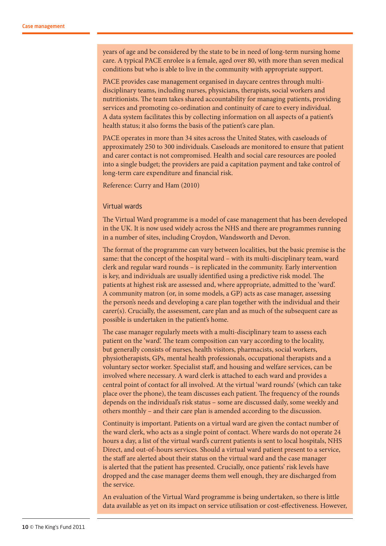years of age and be considered by the state to be in need of long-term nursing home care. A typical PACE enrolee is a female, aged over 80, with more than seven medical conditions but who is able to live in the community with appropriate support.

PACE provides case management organised in daycare centres through multidisciplinary teams, including nurses, physicians, therapists, social workers and nutritionists. The team takes shared accountability for managing patients, providing services and promoting co-ordination and continuity of care to every individual. A data system facilitates this by collecting information on all aspects of a patient's health status; it also forms the basis of the patient's care plan.

PACE operates in more than 34 sites across the United States, with caseloads of approximately 250 to 300 individuals. Caseloads are monitored to ensure that patient and carer contact is not compromised. Health and social care resources are pooled into a single budget; the providers are paid a capitation payment and take control of long-term care expenditure and financial risk.

Reference: Curry and Ham (2010)

#### Virtual wards

The Virtual Ward programme is a model of case management that has been developed in the UK. It is now used widely across the NHS and there are programmes running in a number of sites, including Croydon, Wandsworth and Devon.

The format of the programme can vary between localities, but the basic premise is the same: that the concept of the hospital ward – with its multi-disciplinary team, ward clerk and regular ward rounds – is replicated in the community. Early intervention is key, and individuals are usually identified using a predictive risk model. The patients at highest risk are assessed and, where appropriate, admitted to the 'ward'. A community matron (or, in some models, a GP) acts as case manager, assessing the person's needs and developing a care plan together with the individual and their carer(s). Crucially, the assessment, care plan and as much of the subsequent care as possible is undertaken in the patient's home.

The case manager regularly meets with a multi-disciplinary team to assess each patient on the 'ward'. The team composition can vary according to the locality, but generally consists of nurses, health visitors, pharmacists, social workers, physiotherapists, GPs, mental health professionals, occupational therapists and a voluntary sector worker. Specialist staff, and housing and welfare services, can be involved where necessary. A ward clerk is attached to each ward and provides a central point of contact for all involved. At the virtual 'ward rounds' (which can take place over the phone), the team discusses each patient. The frequency of the rounds depends on the individual's risk status – some are discussed daily, some weekly and others monthly – and their care plan is amended according to the discussion.

Continuity is important. Patients on a virtual ward are given the contact number of the ward clerk, who acts as a single point of contact. Where wards do not operate 24 hours a day, a list of the virtual ward's current patients is sent to local hospitals, NHS Direct, and out-of-hours services. Should a virtual ward patient present to a service, the staff are alerted about their status on the virtual ward and the case manager is alerted that the patient has presented. Crucially, once patients' risk levels have dropped and the case manager deems them well enough, they are discharged from the service.

An evaluation of the Virtual Ward programme is being undertaken, so there is little data available as yet on its impact on service utilisation or cost-effectiveness. However,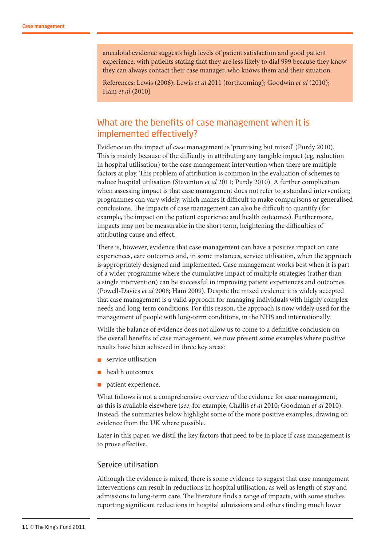anecdotal evidence suggests high levels of patient satisfaction and good patient experience, with patients stating that they are less likely to dial 999 because they know they can always contact their case manager, who knows them and their situation.

References: Lewis (2006); Lewis *et al* 2011 (forthcoming); Goodwin *et al* (2010); Ham *et al* (2010)

## What are the benefits of case management when it is implemented effectively?

Evidence on the impact of case management is 'promising but mixed' (Purdy 2010). This is mainly because of the difficulty in attributing any tangible impact (eg, reduction in hospital utilisation) to the case management intervention when there are multiple factors at play. This problem of attribution is common in the evaluation of schemes to reduce hospital utilisation (Steventon *et al* 2011; Purdy 2010). A further complication when assessing impact is that case management does not refer to a standard intervention; programmes can vary widely, which makes it difficult to make comparisons or generalised conclusions. The impacts of case management can also be difficult to quantify (for example, the impact on the patient experience and health outcomes). Furthermore, impacts may not be measurable in the short term, heightening the difficulties of attributing cause and effect.

There is, however, evidence that case management can have a positive impact on care experiences, care outcomes and, in some instances, service utilisation, when the approach is appropriately designed and implemented. Case management works best when it is part of a wider programme where the cumulative impact of multiple strategies (rather than a single intervention) can be successful in improving patient experiences and outcomes (Powell-Davies *et al* 2008; Ham 2009). Despite the mixed evidence it is widely accepted that case management is a valid approach for managing individuals with highly complex needs and long-term conditions. For this reason, the approach is now widely used for the management of people with long-term conditions, in the NHS and internationally.

While the balance of evidence does not allow us to come to a definitive conclusion on the overall benefits of case management, we now present some examples where positive results have been achieved in three key areas:

- $\blacksquare$  service utilisation
- health outcomes
- n patient experience.

What follows is not a comprehensive overview of the evidence for case management, as this is available elsewhere (*see*, for example, Challis *et al* 2010; Goodman *et al* 2010). Instead, the summaries below highlight some of the more positive examples, drawing on evidence from the UK where possible.

Later in this paper, we distil the key factors that need to be in place if case management is to prove effective.

#### Service utilisation

Although the evidence is mixed, there is some evidence to suggest that case management interventions can result in reductions in hospital utilisation, as well as length of stay and admissions to long-term care. The literature finds a range of impacts, with some studies reporting significant reductions in hospital admissions and others finding much lower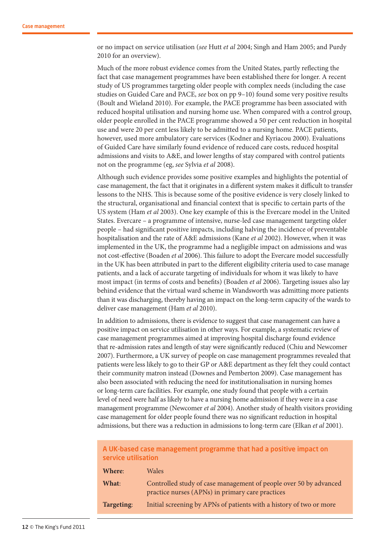or no impact on service utilisation (*see* Hutt *et al* 2004; Singh and Ham 2005; and Purdy 2010 for an overview).

Much of the more robust evidence comes from the United States, partly reflecting the fact that case management programmes have been established there for longer. A recent study of US programmes targeting older people with complex needs (including the case studies on Guided Care and PACE, *see* box on pp 9–10) found some very positive results (Boult and Wieland 2010). For example, the PACE programme has been associated with reduced hospital utilisation and nursing home use. When compared with a control group, older people enrolled in the PACE programme showed a 50 per cent reduction in hospital use and were 20 per cent less likely to be admitted to a nursing home. PACE patients, however, used more ambulatory care services (Kodner and Kyriacou 2000). Evaluations of Guided Care have similarly found evidence of reduced care costs, reduced hospital admissions and visits to A&E, and lower lengths of stay compared with control patients not on the programme (eg, *see* Sylvia *et al* 2008).

Although such evidence provides some positive examples and highlights the potential of case management, the fact that it originates in a different system makes it difficult to transfer lessons to the NHS. This is because some of the positive evidence is very closely linked to the structural, organisational and financial context that is specific to certain parts of the US system (Ham *et al* 2003). One key example of this is the Evercare model in the United States. Evercare – a programme of intensive, nurse-led case management targeting older people – had significant positive impacts, including halving the incidence of preventable hospitalisation and the rate of A&E admissions (Kane *et al* 2002). However, when it was implemented in the UK, the programme had a negligible impact on admissions and was not cost-effective (Boaden *et al* 2006). This failure to adopt the Evercare model successfully in the UK has been attributed in part to the different eligibility criteria used to case manage patients, and a lack of accurate targeting of individuals for whom it was likely to have most impact (in terms of costs and benefits) (Boaden *et al* 2006). Targeting issues also lay behind evidence that the virtual ward scheme in Wandsworth was admitting more patients than it was discharging, thereby having an impact on the long-term capacity of the wards to deliver case management (Ham *et al* 2010).

In addition to admissions, there is evidence to suggest that case management can have a positive impact on service utilisation in other ways. For example, a systematic review of case management programmes aimed at improving hospital discharge found evidence that re-admission rates and length of stay were significantly reduced (Chiu and Newcomer 2007). Furthermore, a UK survey of people on case management programmes revealed that patients were less likely to go to their GP or A&E department as they felt they could contact their community matron instead (Downes and Pemberton 2009). Case management has also been associated with reducing the need for institutionalisation in nursing homes or long-term care facilities. For example, one study found that people with a certain level of need were half as likely to have a nursing home admission if they were in a case management programme (Newcomer *et al* 2004). Another study of health visitors providing case management for older people found there was no significant reduction in hospital admissions, but there was a reduction in admissions to long-term care (Elkan *et al* 2001).

#### A UK-based case management programme that had a positive impact on service utilisation

| Where:     | <b>Wales</b>                                                                                                          |
|------------|-----------------------------------------------------------------------------------------------------------------------|
| What:      | Controlled study of case management of people over 50 by advanced<br>practice nurses (APNs) in primary care practices |
| Targeting: | Initial screening by APNs of patients with a history of two or more                                                   |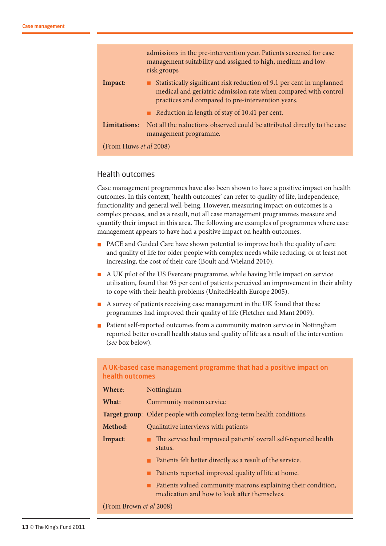|                        | admissions in the pre-intervention year. Patients screened for case<br>management suitability and assigned to high, medium and low-<br>risk groups                                            |
|------------------------|-----------------------------------------------------------------------------------------------------------------------------------------------------------------------------------------------|
| Impact:                | Statistically significant risk reduction of 9.1 per cent in unplanned<br>medical and geriatric admission rate when compared with control<br>practices and compared to pre-intervention years. |
|                        | Reduction in length of stay of 10.41 per cent.                                                                                                                                                |
| Limitations:           | Not all the reductions observed could be attributed directly to the case<br>management programme.                                                                                             |
| (From Huws et al 2008) |                                                                                                                                                                                               |

#### Health outcomes

Case management programmes have also been shown to have a positive impact on health outcomes. In this context, 'health outcomes' can refer to quality of life, independence, functionality and general well-being. However, measuring impact on outcomes is a complex process, and as a result, not all case management programmes measure and quantify their impact in this area. The following are examples of programmes where case management appears to have had a positive impact on health outcomes.

- n PACE and Guided Care have shown potential to improve both the quality of care and quality of life for older people with complex needs while reducing, or at least not increasing, the cost of their care (Boult and Wieland 2010).
- n A UK pilot of the US Evercare programme, while having little impact on service utilisation, found that 95 per cent of patients perceived an improvement in their ability to cope with their health problems (UnitedHealth Europe 2005).
- n A survey of patients receiving case management in the UK found that these programmes had improved their quality of life (Fletcher and Mant 2009).
- n Patient self-reported outcomes from a community matron service in Nottingham reported better overall health status and quality of life as a result of the intervention (*see* box below).

#### A UK-based case management programme that had a positive impact on health outcomes

| Where:                         | Nottingham                                                                                                    |
|--------------------------------|---------------------------------------------------------------------------------------------------------------|
| What:                          | Community matron service                                                                                      |
|                                | <b>Target group:</b> Older people with complex long-term health conditions                                    |
| Method:                        | Qualitative interviews with patients                                                                          |
| Impact:                        | The service had improved patients' overall self-reported health<br>status.                                    |
|                                | Patients felt better directly as a result of the service.                                                     |
|                                | Patients reported improved quality of life at home.                                                           |
|                                | Patients valued community matrons explaining their condition,<br>medication and how to look after themselves. |
| (From Brown <i>et al</i> 2008) |                                                                                                               |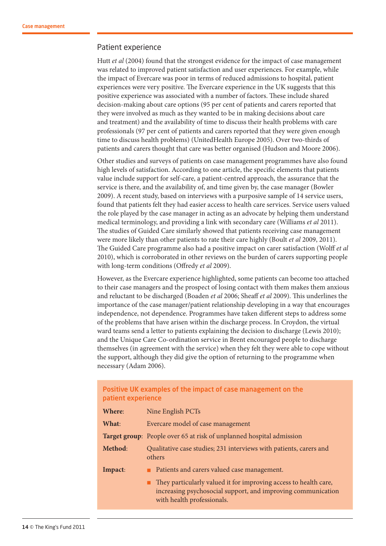#### Patient experience

Hutt *et al* (2004) found that the strongest evidence for the impact of case management was related to improved patient satisfaction and user experiences. For example, while the impact of Evercare was poor in terms of reduced admissions to hospital, patient experiences were very positive. The Evercare experience in the UK suggests that this positive experience was associated with a number of factors. These include shared decision-making about care options (95 per cent of patients and carers reported that they were involved as much as they wanted to be in making decisions about care and treatment) and the availability of time to discuss their health problems with care professionals (97 per cent of patients and carers reported that they were given enough time to discuss health problems) (UnitedHealth Europe 2005). Over two-thirds of patients and carers thought that care was better organised (Hudson and Moore 2006).

Other studies and surveys of patients on case management programmes have also found high levels of satisfaction. According to one article, the specific elements that patients value include support for self-care, a patient-centred approach, the assurance that the service is there, and the availability of, and time given by, the case manager (Bowler 2009). A recent study, based on interviews with a purposive sample of 14 service users, found that patients felt they had easier access to health care services. Service users valued the role played by the case manager in acting as an advocate by helping them understand medical terminology, and providing a link with secondary care (Williams *et al* 2011). The studies of Guided Care similarly showed that patients receiving case management were more likely than other patients to rate their care highly (Boult *et al* 2009, 2011). The Guided Care programme also had a positive impact on carer satisfaction (Wolff *et al*  2010), which is corroborated in other reviews on the burden of carers supporting people with long-term conditions (Offredy *et al* 2009).

However, as the Evercare experience highlighted, some patients can become too attached to their case managers and the prospect of losing contact with them makes them anxious and reluctant to be discharged (Boaden *et al* 2006; Sheaff *et al* 2009). This underlines the importance of the case manager/patient relationship developing in a way that encourages independence, not dependence. Programmes have taken different steps to address some of the problems that have arisen within the discharge process. In Croydon, the virtual ward teams send a letter to patients explaining the decision to discharge (Lewis 2010); and the Unique Care Co-ordination service in Brent encouraged people to discharge themselves (in agreement with the service) when they felt they were able to cope without the support, although they did give the option of returning to the programme when necessary (Adam 2006).

#### Positive UK examples of the impact of case management on the patient experience

| Where:  | Nine English PCTs                                                                                                                                                                                             |
|---------|---------------------------------------------------------------------------------------------------------------------------------------------------------------------------------------------------------------|
| What:   | Evercare model of case management                                                                                                                                                                             |
|         | <b>Target group:</b> People over 65 at risk of unplanned hospital admission                                                                                                                                   |
| Method: | Qualitative case studies; 231 interviews with patients, carers and<br>others                                                                                                                                  |
| Impact: | Patients and carers valued case management.<br>They particularly valued it for improving access to health care,<br>increasing psychosocial support, and improving communication<br>with health professionals. |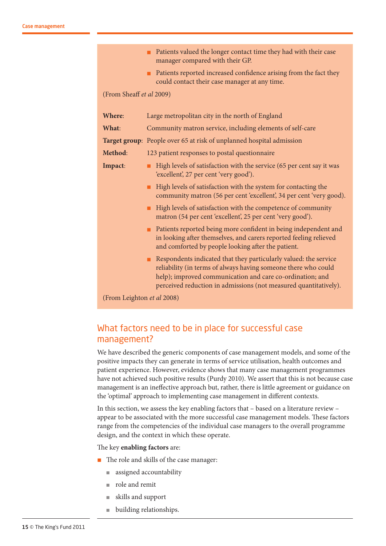|                            | Patients valued the longer contact time they had with their case<br>manager compared with their GP.                                                                                                                                                                                   |  |
|----------------------------|---------------------------------------------------------------------------------------------------------------------------------------------------------------------------------------------------------------------------------------------------------------------------------------|--|
|                            | • Patients reported increased confidence arising from the fact they<br>could contact their case manager at any time.                                                                                                                                                                  |  |
| (From Sheaff et al 2009)   |                                                                                                                                                                                                                                                                                       |  |
| Where:                     | Large metropolitan city in the north of England                                                                                                                                                                                                                                       |  |
| What:                      | Community matron service, including elements of self-care                                                                                                                                                                                                                             |  |
|                            | Target group: People over 65 at risk of unplanned hospital admission                                                                                                                                                                                                                  |  |
| Method:                    | 123 patient responses to postal questionnaire                                                                                                                                                                                                                                         |  |
| Impact:                    | High levels of satisfaction with the service (65 per cent say it was<br>٠<br>'excellent', 27 per cent 'very good').                                                                                                                                                                   |  |
|                            | High levels of satisfaction with the system for contacting the<br>٠<br>community matron (56 per cent 'excellent', 34 per cent 'very good).                                                                                                                                            |  |
|                            | High levels of satisfaction with the competence of community<br>٠<br>matron (54 per cent 'excellent', 25 per cent 'very good').                                                                                                                                                       |  |
|                            | Patients reported being more confident in being independent and<br>in looking after themselves, and carers reported feeling relieved<br>and comforted by people looking after the patient.                                                                                            |  |
|                            | Respondents indicated that they particularly valued: the service<br>$\blacksquare$<br>reliability (in terms of always having someone there who could<br>help); improved communication and care co-ordination; and<br>perceived reduction in admissions (not measured quantitatively). |  |
| (From Leighton et al 2008) |                                                                                                                                                                                                                                                                                       |  |

## What factors need to be in place for successful case management?

We have described the generic components of case management models, and some of the positive impacts they can generate in terms of service utilisation, health outcomes and patient experience. However, evidence shows that many case management programmes have not achieved such positive results (Purdy 2010). We assert that this is not because case management is an ineffective approach but, rather, there is little agreement or guidance on the 'optimal' approach to implementing case management in different contexts.

In this section, we assess the key enabling factors that – based on a literature review – appear to be associated with the more successful case management models. These factors range from the competencies of the individual case managers to the overall programme design, and the context in which these operate.

#### The key **enabling factors** are:

- n The role and skills of the case manager:
	- **n** assigned accountability
	- $\blacksquare$  role and remit
	- <sup>n</sup> skills and support
	- $\blacksquare$  building relationships.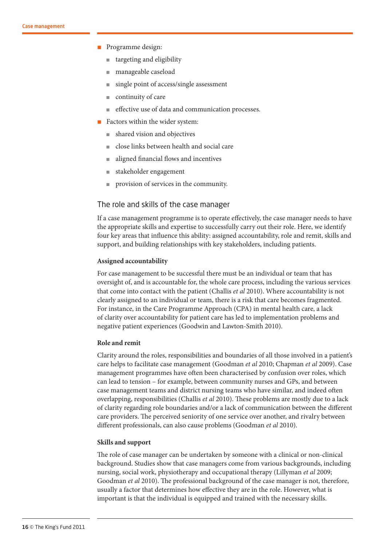- n Programme design:
	- targeting and eligibility
	- manageable caseload
	- single point of access/single assessment
	- $\blacksquare$  continuity of care
	- <sup>n</sup> effective use of data and communication processes.
- $\blacksquare$  Factors within the wider system:
	- shared vision and objectives
	- <sup>n</sup> close links between health and social care
	- n aligned financial flows and incentives
	- stakeholder engagement
	- provision of services in the community.

#### The role and skills of the case manager

If a case management programme is to operate effectively, the case manager needs to have the appropriate skills and expertise to successfully carry out their role. Here, we identify four key areas that influence this ability: assigned accountability, role and remit, skills and support, and building relationships with key stakeholders, including patients.

#### **Assigned accountability**

For case management to be successful there must be an individual or team that has oversight of, and is accountable for, the whole care process, including the various services that come into contact with the patient (Challis *et al* 2010). Where accountability is not clearly assigned to an individual or team, there is a risk that care becomes fragmented. For instance, in the Care Programme Approach (CPA) in mental health care, a lack of clarity over accountability for patient care has led to implementation problems and negative patient experiences (Goodwin and Lawton-Smith 2010).

#### **Role and remit**

Clarity around the roles, responsibilities and boundaries of all those involved in a patient's care helps to facilitate case management (Goodman *et al* 2010; Chapman *et al* 2009). Case management programmes have often been characterised by confusion over roles, which can lead to tension – for example, between community nurses and GPs, and between case management teams and district nursing teams who have similar, and indeed often overlapping, responsibilities (Challis *et al* 2010). These problems are mostly due to a lack of clarity regarding role boundaries and/or a lack of communication between the different care providers. The perceived seniority of one service over another, and rivalry between different professionals, can also cause problems (Goodman *et al* 2010).

#### **Skills and support**

The role of case manager can be undertaken by someone with a clinical or non-clinical background. Studies show that case managers come from various backgrounds, including nursing, social work, physiotherapy and occupational therapy (Lillyman *et al* 2009; Goodman *et al* 2010). The professional background of the case manager is not, therefore, usually a factor that determines how effective they are in the role. However, what is important is that the individual is equipped and trained with the necessary skills.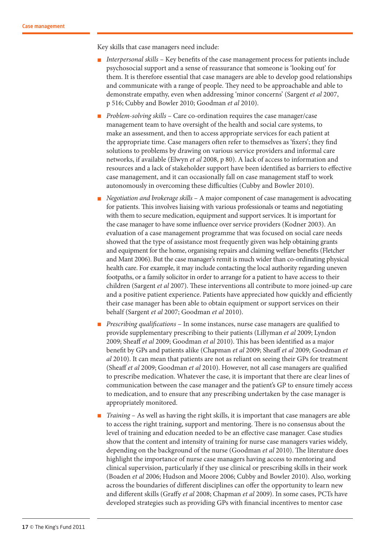Key skills that case managers need include:

- n *Interpersonal skills* Key benefits of the case management process for patients include psychosocial support and a sense of reassurance that someone is 'looking out' for them. It is therefore essential that case managers are able to develop good relationships and communicate with a range of people. They need to be approachable and able to demonstrate empathy, even when addressing 'minor concerns' (Sargent *et al* 2007, p 516; Cubby and Bowler 2010; Goodman *et al* 2010).
- n *Problem-solving skills* Care co-ordination requires the case manager/case management team to have oversight of the health and social care systems, to make an assessment, and then to access appropriate services for each patient at the appropriate time. Case managers often refer to themselves as 'fixers'; they find solutions to problems by drawing on various service providers and informal care networks, if available (Elwyn *et al* 2008, p 80). A lack of access to information and resources and a lack of stakeholder support have been identified as barriers to effective case management, and it can occasionally fall on case management staff to work autonomously in overcoming these difficulties (Cubby and Bowler 2010).
- n *Negotiation and brokerage skills* A major component of case management is advocating for patients. This involves liaising with various professionals or teams and negotiating with them to secure medication, equipment and support services. It is important for the case manager to have some influence over service providers (Kodner 2003). An evaluation of a case management programme that was focused on social care needs showed that the type of assistance most frequently given was help obtaining grants and equipment for the home, organising repairs and claiming welfare benefits (Fletcher and Mant 2006). But the case manager's remit is much wider than co-ordinating physical health care. For example, it may include contacting the local authority regarding uneven footpaths, or a family solicitor in order to arrange for a patient to have access to their children (Sargent *et al* 2007). These interventions all contribute to more joined-up care and a positive patient experience. Patients have appreciated how quickly and efficiently their case manager has been able to obtain equipment or support services on their behalf (Sargent *et al* 2007; Goodman *et al* 2010).
- *Prescribing qualifications* In some instances, nurse case managers are qualified to provide supplementary prescribing to their patients (Lillyman *et al* 2009; Lyndon 2009; Sheaff *et al* 2009; Goodman *et al* 2010). This has been identified as a major benefit by GPs and patients alike (Chapman *et al* 2009; Sheaff *et al* 2009; Goodman *et al* 2010). It can mean that patients are not as reliant on seeing their GPs for treatment (Sheaff *et al* 2009; Goodman *et al* 2010). However, not all case managers are qualified to prescribe medication. Whatever the case, it is important that there are clear lines of communication between the case manager and the patient's GP to ensure timely access to medication, and to ensure that any prescribing undertaken by the case manager is appropriately monitored.
- n *Training* As well as having the right skills, it is important that case managers are able to access the right training, support and mentoring. There is no consensus about the level of training and education needed to be an effective case manager. Case studies show that the content and intensity of training for nurse case managers varies widely, depending on the background of the nurse (Goodman *et al* 2010). The literature does highlight the importance of nurse case managers having access to mentoring and clinical supervision, particularly if they use clinical or prescribing skills in their work (Boaden *et al* 2006; Hudson and Moore 2006; Cubby and Bowler 2010). Also, working across the boundaries of different disciplines can offer the opportunity to learn new and different skills (Graffy *et al* 2008; Chapman *et al* 2009). In some cases, PCTs have developed strategies such as providing GPs with financial incentives to mentor case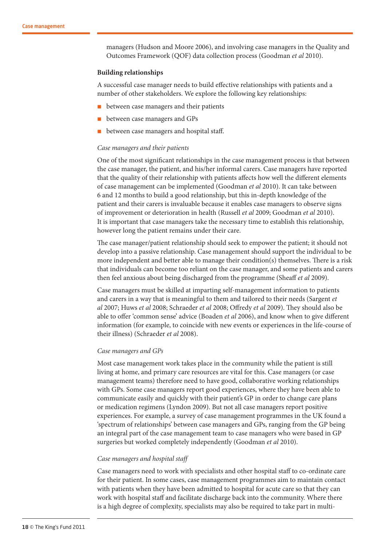managers (Hudson and Moore 2006), and involving case managers in the Quality and Outcomes Framework (QOF) data collection process (Goodman *et al* 2010).

#### **Building relationships**

A successful case manager needs to build effective relationships with patients and a number of other stakeholders. We explore the following key relationships:

- between case managers and their patients
- between case managers and GPs
- between case managers and hospital staff.

#### *Case managers and their patients*

One of the most significant relationships in the case management process is that between the case manager, the patient, and his/her informal carers. Case managers have reported that the quality of their relationship with patients affects how well the different elements of case management can be implemented (Goodman *et al* 2010). It can take between 6 and 12 months to build a good relationship, but this in-depth knowledge of the patient and their carers is invaluable because it enables case managers to observe signs of improvement or deterioration in health (Russell *et al* 2009; Goodman *et al* 2010). It is important that case managers take the necessary time to establish this relationship, however long the patient remains under their care.

The case manager/patient relationship should seek to empower the patient; it should not develop into a passive relationship. Case management should support the individual to be more independent and better able to manage their condition(s) themselves. There is a risk that individuals can become too reliant on the case manager, and some patients and carers then feel anxious about being discharged from the programme (Sheaff *et al* 2009).

Case managers must be skilled at imparting self-management information to patients and carers in a way that is meaningful to them and tailored to their needs (Sargent *et al* 2007; Huws *et al* 2008; Schraeder *et al* 2008; Offredy *et al* 2009). They should also be able to offer 'common sense' advice (Boaden *et al* 2006), and know when to give different information (for example, to coincide with new events or experiences in the life-course of their illness) (Schraeder *et al* 2008).

#### *Case managers and GPs*

Most case management work takes place in the community while the patient is still living at home, and primary care resources are vital for this. Case managers (or case management teams) therefore need to have good, collaborative working relationships with GPs. Some case managers report good experiences, where they have been able to communicate easily and quickly with their patient's GP in order to change care plans or medication regimens (Lyndon 2009). But not all case managers report positive experiences. For example, a survey of case management programmes in the UK found a 'spectrum of relationships' between case managers and GPs, ranging from the GP being an integral part of the case management team to case managers who were based in GP surgeries but worked completely independently (Goodman *et al* 2010).

#### *Case managers and hospital staff*

Case managers need to work with specialists and other hospital staff to co-ordinate care for their patient. In some cases, case management programmes aim to maintain contact with patients when they have been admitted to hospital for acute care so that they can work with hospital staff and facilitate discharge back into the community. Where there is a high degree of complexity, specialists may also be required to take part in multi-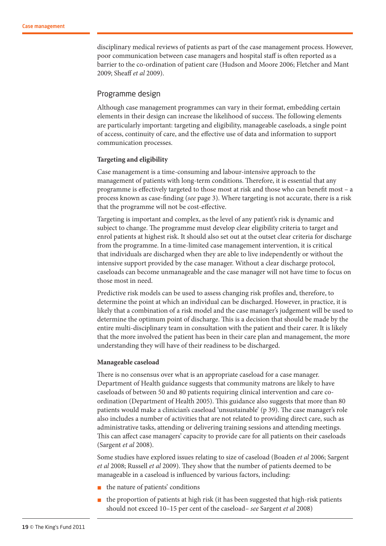disciplinary medical reviews of patients as part of the case management process. However, poor communication between case managers and hospital staff is often reported as a barrier to the co-ordination of patient care (Hudson and Moore 2006; Fletcher and Mant 2009; Sheaff *et al* 2009).

#### Programme design

Although case management programmes can vary in their format, embedding certain elements in their design can increase the likelihood of success. The following elements are particularly important: targeting and eligibility, manageable caseloads, a single point of access, continuity of care, and the effective use of data and information to support communication processes.

#### **Targeting and eligibility**

Case management is a time-consuming and labour-intensive approach to the management of patients with long-term conditions. Therefore, it is essential that any programme is effectively targeted to those most at risk and those who can benefit most – a process known as case-finding (*see* page 3). Where targeting is not accurate, there is a risk that the programme will not be cost-effective.

Targeting is important and complex, as the level of any patient's risk is dynamic and subject to change. The programme must develop clear eligibility criteria to target and enrol patients at highest risk. It should also set out at the outset clear criteria for discharge from the programme. In a time-limited case management intervention, it is critical that individuals are discharged when they are able to live independently or without the intensive support provided by the case manager. Without a clear discharge protocol, caseloads can become unmanageable and the case manager will not have time to focus on those most in need.

Predictive risk models can be used to assess changing risk profiles and, therefore, to determine the point at which an individual can be discharged. However, in practice, it is likely that a combination of a risk model and the case manager's judgement will be used to determine the optimum point of discharge. This is a decision that should be made by the entire multi-disciplinary team in consultation with the patient and their carer. It is likely that the more involved the patient has been in their care plan and management, the more understanding they will have of their readiness to be discharged.

#### **Manageable caseload**

There is no consensus over what is an appropriate caseload for a case manager. Department of Health guidance suggests that community matrons are likely to have caseloads of between 50 and 80 patients requiring clinical intervention and care coordination (Department of Health 2005). This guidance also suggests that more than 80 patients would make a clinician's caseload 'unsustainable' (p 39). The case manager's role also includes a number of activities that are not related to providing direct care, such as administrative tasks, attending or delivering training sessions and attending meetings. This can affect case managers' capacity to provide care for all patients on their caseloads (Sargent *et al* 2008).

Some studies have explored issues relating to size of caseload (Boaden *et al* 2006; Sargent *et al* 2008; Russell *et al* 2009). They show that the number of patients deemed to be manageable in a caseload is influenced by various factors, including:

- the nature of patients' conditions
- $\blacksquare$  the proportion of patients at high risk (it has been suggested that high-risk patients should not exceed 10–15 per cent of the caseload– *see* Sargent *et al* 2008)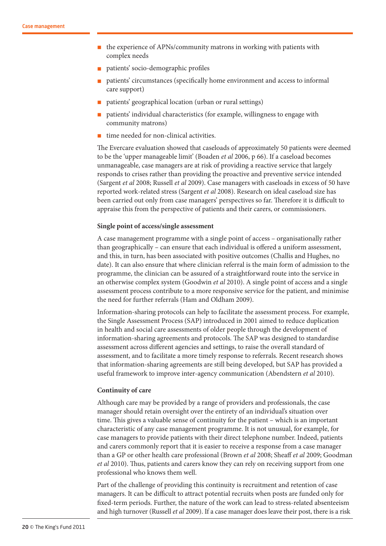- $\blacksquare$  the experience of APNs/community matrons in working with patients with complex needs
- n patients' socio-demographic profiles
- patients' circumstances (specifically home environment and access to informal care support)
- n patients' geographical location (urban or rural settings)
- n patients' individual characteristics (for example, willingness to engage with community matrons)
- time needed for non-clinical activities.

The Evercare evaluation showed that caseloads of approximately 50 patients were deemed to be the 'upper manageable limit' (Boaden *et al* 2006, p 66). If a caseload becomes unmanageable, case managers are at risk of providing a reactive service that largely responds to crises rather than providing the proactive and preventive service intended (Sargent *et al* 2008; Russell *et al* 2009). Case managers with caseloads in excess of 50 have reported work-related stress (Sargent *et al* 2008). Research on ideal caseload size has been carried out only from case managers' perspectives so far. Therefore it is difficult to appraise this from the perspective of patients and their carers, or commissioners.

#### **Single point of access/single assessment**

A case management programme with a single point of access – organisationally rather than geographically – can ensure that each individual is offered a uniform assessment, and this, in turn, has been associated with positive outcomes (Challis and Hughes, no date). It can also ensure that where clinician referral is the main form of admission to the programme, the clinician can be assured of a straightforward route into the service in an otherwise complex system (Goodwin *et al* 2010). A single point of access and a single assessment process contribute to a more responsive service for the patient, and minimise the need for further referrals (Ham and Oldham 2009).

Information-sharing protocols can help to facilitate the assessment process. For example, the Single Assessment Process (SAP) introduced in 2001 aimed to reduce duplication in health and social care assessments of older people through the development of information-sharing agreements and protocols. The SAP was designed to standardise assessment across different agencies and settings, to raise the overall standard of assessment, and to facilitate a more timely response to referrals. Recent research shows that information-sharing agreements are still being developed, but SAP has provided a useful framework to improve inter-agency communication (Abendstern *et al* 2010).

#### **Continuity of care**

Although care may be provided by a range of providers and professionals, the case manager should retain oversight over the entirety of an individual's situation over time. This gives a valuable sense of continuity for the patient – which is an important characteristic of any case management programme. It is not unusual, for example, for case managers to provide patients with their direct telephone number. Indeed, patients and carers commonly report that it is easier to receive a response from a case manager than a GP or other health care professional (Brown *et al* 2008; Sheaff *et al* 2009; Goodman *et al* 2010). Thus, patients and carers know they can rely on receiving support from one professional who knows them well.

Part of the challenge of providing this continuity is recruitment and retention of case managers. It can be difficult to attract potential recruits when posts are funded only for fixed-term periods. Further, the nature of the work can lead to stress-related absenteeism and high turnover (Russell *et al* 2009). If a case manager does leave their post, there is a risk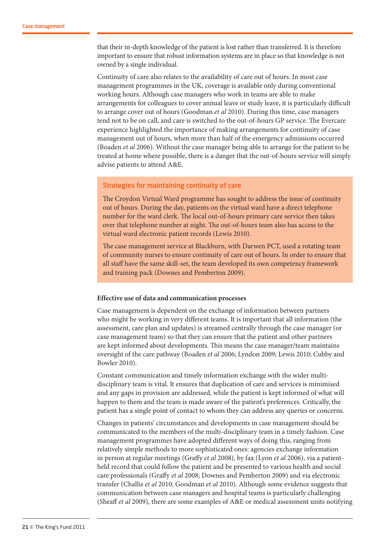that their in-depth knowledge of the patient is lost rather than transferred. It is therefore important to ensure that robust information systems are in place so that knowledge is not owned by a single individual.

Continuity of care also relates to the availability of care out of hours. In most case management programmes in the UK, coverage is available only during conventional working hours. Although case managers who work in teams are able to make arrangements for colleagues to cover annual leave or study leave, it is particularly difficult to arrange cover out of hours (Goodman *et al* 2010). During this time, case managers tend not to be on call, and care is switched to the out-of-hours GP service. The Evercare experience highlighted the importance of making arrangements for continuity of case management out of hours, when more than half of the emergency admissions occurred (Boaden *et al* 2006). Without the case manager being able to arrange for the patient to be treated at home where possible, there is a danger that the out-of-hours service will simply advise patients to attend A&E.

#### Strategies for maintaining continuity of care

The Croydon Virtual Ward programme has sought to address the issue of continuity out of hours. During the day, patients on the virtual ward have a direct telephone number for the ward clerk. The local out-of-hours primary care service then takes over that telephone number at night. The out-of-hours team also has access to the virtual ward electronic patient records (Lewis 2010).

The case management service at Blackburn, with Darwen PCT, used a rotating team of community nurses to ensure continuity of care out of hours. In order to ensure that all staff have the same skill-set, the team developed its own competency framework and training pack (Downes and Pemberton 2009).

#### **Effective use of data and communication processes**

Case management is dependent on the exchange of information between partners who might be working in very different teams. It is important that all information (the assessment, care plan and updates) is streamed centrally through the case manager (or case management team) so that they can ensure that the patient and other partners are kept informed about developments. This means the case manager/team maintains oversight of the care pathway (Boaden *et al* 2006; Lyndon 2009; Lewis 2010; Cubby and Bowler 2010).

Constant communication and timely information exchange with the wider multidisciplinary team is vital. It ensures that duplication of care and services is minimised and any gaps in provision are addressed, while the patient is kept informed of what will happen to them and the team is made aware of the patient's preferences. Critically, the patient has a single point of contact to whom they can address any queries or concerns.

Changes in patients' circumstances and developments in case management should be communicated to the members of the multi-disciplinary team in a timely fashion. Case management programmes have adopted different ways of doing this, ranging from relatively simple methods to more sophisticated ones: agencies exchange information in person at regular meetings (Graffy *et al* 2008), by fax (Lyon *et al* 2006), via a patientheld record that could follow the patient and be presented to various health and social care professionals (Graffy *et al* 2008; Downes and Pemberton 2009) and via electronic transfer (Challis *et al* 2010; Goodman *et al* 2010). Although some evidence suggests that communication between case managers and hospital teams is particularly challenging (Sheaff *et al* 2009), there are some examples of A&E or medical assessment units notifying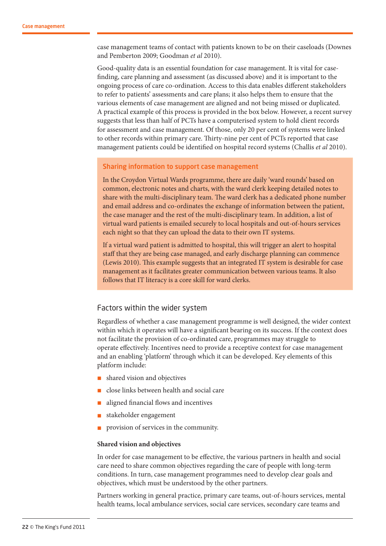case management teams of contact with patients known to be on their caseloads (Downes and Pemberton 2009; Goodman *et al* 2010).

Good-quality data is an essential foundation for case management. It is vital for casefinding, care planning and assessment (as discussed above) and it is important to the ongoing process of care co-ordination. Access to this data enables different stakeholders to refer to patients' assessments and care plans; it also helps them to ensure that the various elements of case management are aligned and not being missed or duplicated. A practical example of this process is provided in the box below. However, a recent survey suggests that less than half of PCTs have a computerised system to hold client records for assessment and case management. Of those, only 20 per cent of systems were linked to other records within primary care. Thirty-nine per cent of PCTs reported that case management patients could be identified on hospital record systems (Challis *et al* 2010).

#### Sharing information to support case management

In the Croydon Virtual Wards programme, there are daily 'ward rounds' based on common, electronic notes and charts, with the ward clerk keeping detailed notes to share with the multi-disciplinary team. The ward clerk has a dedicated phone number and email address and co-ordinates the exchange of information between the patient, the case manager and the rest of the multi-disciplinary team. In addition, a list of virtual ward patients is emailed securely to local hospitals and out-of-hours services each night so that they can upload the data to their own IT systems.

If a virtual ward patient is admitted to hospital, this will trigger an alert to hospital staff that they are being case managed, and early discharge planning can commence (Lewis 2010). This example suggests that an integrated IT system is desirable for case management as it facilitates greater communication between various teams. It also follows that IT literacy is a core skill for ward clerks.

#### Factors within the wider system

Regardless of whether a case management programme is well designed, the wider context within which it operates will have a significant bearing on its success. If the context does not facilitate the provision of co-ordinated care, programmes may struggle to operate effectively. Incentives need to provide a receptive context for case management and an enabling 'platform' through which it can be developed. Key elements of this platform include:

- shared vision and objectives
- n close links between health and social care
- n aligned financial flows and incentives
- stakeholder engagement
- provision of services in the community.

#### **Shared vision and objectives**

In order for case management to be effective, the various partners in health and social care need to share common objectives regarding the care of people with long-term conditions. In turn, case management programmes need to develop clear goals and objectives, which must be understood by the other partners.

Partners working in general practice, primary care teams, out-of-hours services, mental health teams, local ambulance services, social care services, secondary care teams and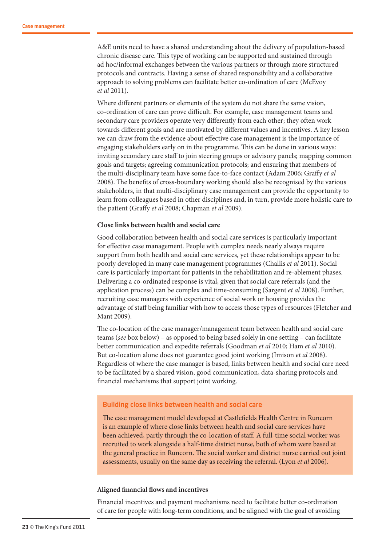A&E units need to have a shared understanding about the delivery of population-based chronic disease care. This type of working can be supported and sustained through ad hoc/informal exchanges between the various partners or through more structured protocols and contracts. Having a sense of shared responsibility and a collaborative approach to solving problems can facilitate better co-ordination of care (McEvoy *et al* 2011).

Where different partners or elements of the system do not share the same vision, co-ordination of care can prove difficult. For example, case management teams and secondary care providers operate very differently from each other; they often work towards different goals and are motivated by different values and incentives. A key lesson we can draw from the evidence about effective case management is the importance of engaging stakeholders early on in the programme. This can be done in various ways: inviting secondary care staff to join steering groups or advisory panels; mapping common goals and targets; agreeing communication protocols; and ensuring that members of the multi-disciplinary team have some face-to-face contact (Adam 2006; Graffy *et al* 2008). The benefits of cross-boundary working should also be recognised by the various stakeholders, in that multi-disciplinary case management can provide the opportunity to learn from colleagues based in other disciplines and, in turn, provide more holistic care to the patient (Graffy *et al* 2008; Chapman *et al* 2009).

#### **Close links between health and social care**

Good collaboration between health and social care services is particularly important for effective case management. People with complex needs nearly always require support from both health and social care services, yet these relationships appear to be poorly developed in many case management programmes (Challis *et al* 2011). Social care is particularly important for patients in the rehabilitation and re-ablement phases. Delivering a co-ordinated response is vital, given that social care referrals (and the application process) can be complex and time-consuming (Sargent *et al* 2008). Further, recruiting case managers with experience of social work or housing provides the advantage of staff being familiar with how to access those types of resources (Fletcher and Mant 2009).

The co-location of the case manager/management team between health and social care teams (*see* box below) – as opposed to being based solely in one setting – can facilitate better communication and expedite referrals (Goodman *et al* 2010; Ham *et al* 2010). But co-location alone does not guarantee good joint working (Imison *et al* 2008). Regardless of where the case manager is based, links between health and social care need to be facilitated by a shared vision, good communication, data-sharing protocols and financial mechanisms that support joint working.

#### Building close links between health and social care

The case management model developed at Castlefields Health Centre in Runcorn is an example of where close links between health and social care services have been achieved, partly through the co-location of staff. A full-time social worker was recruited to work alongside a half-time district nurse, both of whom were based at the general practice in Runcorn. The social worker and district nurse carried out joint assessments, usually on the same day as receiving the referral. (Lyon *et al* 2006).

#### **Aligned financial flows and incentives**

Financial incentives and payment mechanisms need to facilitate better co-ordination of care for people with long-term conditions, and be aligned with the goal of avoiding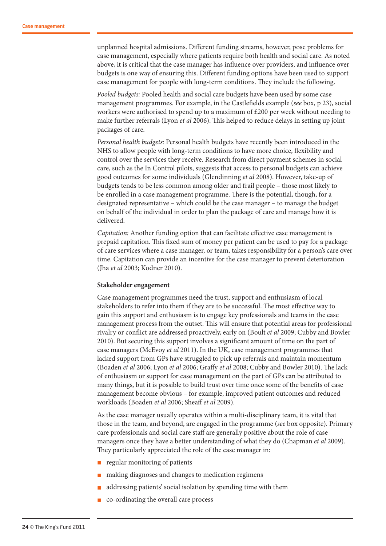unplanned hospital admissions. Different funding streams, however, pose problems for case management, especially where patients require both health and social care. As noted above, it is critical that the case manager has influence over providers, and influence over budgets is one way of ensuring this. Different funding options have been used to support case management for people with long-term conditions. They include the following.

*Pooled budgets:* Pooled health and social care budgets have been used by some case management programmes. For example, in the Castlefields example (*see* box, p 23), social workers were authorised to spend up to a maximum of £200 per week without needing to make further referrals (Lyon *et al* 2006). This helped to reduce delays in setting up joint packages of care.

*Personal health budgets:* Personal health budgets have recently been introduced in the NHS to allow people with long-term conditions to have more choice, flexibility and control over the services they receive. Research from direct payment schemes in social care, such as the In Control pilots, suggests that access to personal budgets can achieve good outcomes for some individuals (Glendinning *et al* 2008). However, take-up of budgets tends to be less common among older and frail people – those most likely to be enrolled in a case management programme. There is the potential, though, for a designated representative – which could be the case manager – to manage the budget on behalf of the individual in order to plan the package of care and manage how it is delivered.

*Capitation:* Another funding option that can facilitate effective case management is prepaid capitation. This fixed sum of money per patient can be used to pay for a package of care services where a case manager, or team, takes responsibility for a person's care over time. Capitation can provide an incentive for the case manager to prevent deterioration (Jha *et al* 2003; Kodner 2010).

#### **Stakeholder engagement**

Case management programmes need the trust, support and enthusiasm of local stakeholders to refer into them if they are to be successful. The most effective way to gain this support and enthusiasm is to engage key professionals and teams in the case management process from the outset. This will ensure that potential areas for professional rivalry or conflict are addressed proactively, early on (Boult *et al* 2009; Cubby and Bowler 2010). But securing this support involves a significant amount of time on the part of case managers (McEvoy *et al* 2011). In the UK, case management programmes that lacked support from GPs have struggled to pick up referrals and maintain momentum (Boaden *et al* 2006; Lyon *et al* 2006; Graffy *et al* 2008; Cubby and Bowler 2010). The lack of enthusiasm or support for case management on the part of GPs can be attributed to many things, but it is possible to build trust over time once some of the benefits of case management become obvious – for example, improved patient outcomes and reduced workloads (Boaden *et al* 2006; Sheaff *et al* 2009).

As the case manager usually operates within a multi-disciplinary team, it is vital that those in the team, and beyond, are engaged in the programme (*see* box opposite). Primary care professionals and social care staff are generally positive about the role of case managers once they have a better understanding of what they do (Chapman *et al* 2009). They particularly appreciated the role of the case manager in:

- n regular monitoring of patients
- making diagnoses and changes to medication regimens
- n addressing patients' social isolation by spending time with them
- n co-ordinating the overall care process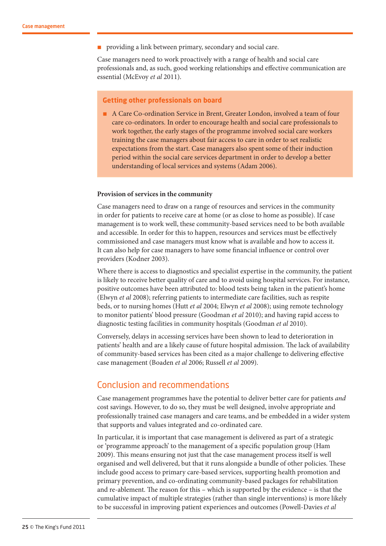n providing a link between primary, secondary and social care.

Case managers need to work proactively with a range of health and social care professionals and, as such, good working relationships and effective communication are essential (McEvoy *et al* 2011).

#### **Getting other professionals on board**

n A Care Co-ordination Service in Brent, Greater London, involved a team of four care co-ordinators. In order to encourage health and social care professionals to work together, the early stages of the programme involved social care workers training the case managers about fair access to care in order to set realistic expectations from the start. Case managers also spent some of their induction period within the social care services department in order to develop a better understanding of local services and systems (Adam 2006).

#### **Provision of services in the community**

Case managers need to draw on a range of resources and services in the community in order for patients to receive care at home (or as close to home as possible). If case management is to work well, these community-based services need to be both available and accessible. In order for this to happen, resources and services must be effectively commissioned and case managers must know what is available and how to access it. It can also help for case managers to have some financial influence or control over providers (Kodner 2003).

Where there is access to diagnostics and specialist expertise in the community, the patient is likely to receive better quality of care and to avoid using hospital services. For instance, positive outcomes have been attributed to: blood tests being taken in the patient's home (Elwyn *et al* 2008); referring patients to intermediate care facilities, such as respite beds, or to nursing homes (Hutt *et al* 2004; Elwyn *et al* 2008); using remote technology to monitor patients' blood pressure (Goodman *et al* 2010); and having rapid access to diagnostic testing facilities in community hospitals (Goodman *et al* 2010).

Conversely, delays in accessing services have been shown to lead to deterioration in patients' health and are a likely cause of future hospital admission. The lack of availability of community-based services has been cited as a major challenge to delivering effective case management (Boaden *et al* 2006; Russell *et al* 2009).

## Conclusion and recommendations

Case management programmes have the potential to deliver better care for patients *and* cost savings. However, to do so, they must be well designed, involve appropriate and professionally trained case managers and care teams, and be embedded in a wider system that supports and values integrated and co-ordinated care.

In particular, it is important that case management is delivered as part of a strategic or 'programme approach' to the management of a specific population group (Ham 2009). This means ensuring not just that the case management process itself is well organised and well delivered, but that it runs alongside a bundle of other policies. These include good access to primary care-based services, supporting health promotion and primary prevention, and co-ordinating community-based packages for rehabilitation and re-ablement. The reason for this – which is supported by the evidence – is that the cumulative impact of multiple strategies (rather than single interventions) is more likely to be successful in improving patient experiences and outcomes (Powell-Davies *et al*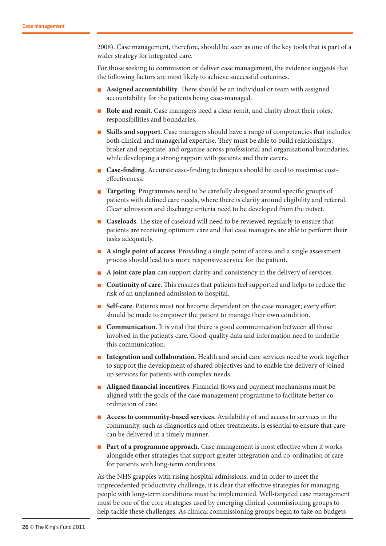2008). Case management, therefore, should be seen as one of the key tools that is part of a wider strategy for integrated care.

For those seeking to commission or deliver case management, the evidence suggests that the following factors are most likely to achieve successful outcomes.

- n **Assigned accountability**. There should be an individual or team with assigned accountability for the patients being case-managed.
- n **Role and remit**. Case managers need a clear remit, and clarity about their roles, responsibilities and boundaries.
- **n Skills and support.** Case managers should have a range of competencies that includes both clinical and managerial expertise. They must be able to build relationships, broker and negotiate, and organise across professional and organisational boundaries, while developing a strong rapport with patients and their carers.
- n **Case-finding**. Accurate case-finding techniques should be used to maximise costeffectiveness.
- **n Targeting**. Programmes need to be carefully designed around specific groups of patients with defined care needs, where there is clarity around eligibility and referral. Clear admission and discharge criteria need to be developed from the outset.
- n **Caseloads**. The size of caseload will need to be reviewed regularly to ensure that patients are receiving optimum care and that case managers are able to perform their tasks adequately.
- n **A single point of access**. Providing a single point of access and a single assessment process should lead to a more responsive service for the patient.
- **A joint care plan** can support clarity and consistency in the delivery of services.
- n **Continuity of care**. This ensures that patients feel supported and helps to reduce the risk of an unplanned admission to hospital.
- Self-care. Patients must not become dependent on the case manager; every effort should be made to empower the patient to manage their own condition.
- **Communication**. It is vital that there is good communication between all those involved in the patient's care. Good-quality data and information need to underlie this communication.
- Integration and collaboration. Health and social care services need to work together to support the development of shared objectives and to enable the delivery of joinedup services for patients with complex needs.
- n **Aligned financial incentives**. Financial flows and payment mechanisms must be aligned with the goals of the case management programme to facilitate better coordination of care.
- n **Access to community-based services**. Availability of and access to services in the community, such as diagnostics and other treatments, is essential to ensure that care can be delivered in a timely manner.
- **Part of a programme approach**. Case management is most effective when it works alongside other strategies that support greater integration and co-ordination of care for patients with long-term conditions.

As the NHS grapples with rising hospital admissions, and in order to meet the unprecedented productivity challenge, it is clear that effective strategies for managing people with long-term conditions must be implemented. Well-targeted case management must be one of the core strategies used by emerging clinical commissioning groups to help tackle these challenges. As clinical commissioning groups begin to take on budgets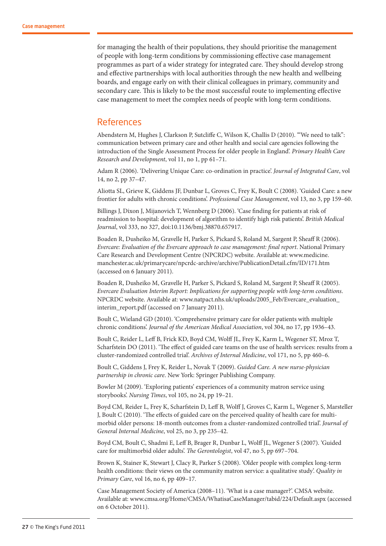for managing the health of their populations, they should prioritise the management of people with long-term conditions by commissioning effective case management programmes as part of a wider strategy for integrated care. They should develop strong and effective partnerships with local authorities through the new health and wellbeing boards, and engage early on with their clinical colleagues in primary, community and secondary care. This is likely to be the most successful route to implementing effective case management to meet the complex needs of people with long-term conditions.

### References

Abendstern M, Hughes J, Clarkson P, Sutcliffe C, Wilson K, Challis D (2010). '"We need to talk": communication between primary care and other health and social care agencies following the introduction of the Single Assessment Process for older people in England'. *Primary Health Care Research and Development*, vol 11, no 1, pp 61–71.

Adam R (2006). 'Delivering Unique Care: co-ordination in practice'. *Journal of Integrated Care*, vol 14, no 2, pp 37–47.

Aliotta SL, Grieve K, Giddens JF, Dunbar L, Groves C, Frey K, Boult C (2008). 'Guided Care: a new frontier for adults with chronic conditions'. *Professional Case Management*, vol 13, no 3, pp 159–60.

Billings J, Dixon J, Mijanovich T, Wennberg D (2006). 'Case finding for patients at risk of readmission to hospital: development of algorithm to identify high risk patients'. *British Medical Journal*, vol 333, no 327, doi:10.1136/bmj.38870.657917.

Boaden R, Dusheiko M, Gravelle H, Parker S, Pickard S, Roland M, Sargent P, Sheaff R (2006). *Evercare: Evaluation of the Evercare approach to case management: final report*. National Primary Care Research and Development Centre (NPCRDC) website. Available at: www.medicine. manchester.ac.uk/primarycare/npcrdc-archive/archive/PublicationDetail.cfm/ID/171.htm (accessed on 6 January 2011).

Boaden R, Dusheiko M, Gravelle H, Parker S, Pickard S, Roland M, Sargent P, Sheaff R (2005). *Evercare Evaluation Interim Report: Implications for supporting people with long-term conditions*. NPCRDC website. Available at: www.natpact.nhs.uk/uploads/2005\_Feb/Evercare\_evaluation\_ interim\_report.pdf (accessed on 7 January 2011).

Boult C, Wieland GD (2010). 'Comprehensive primary care for older patients with multiple chronic conditions'. *Journal of the American Medical Association*, vol 304, no 17, pp 1936–43.

Boult C, Reider L, Leff B, Frick KD, Boyd CM, Wolff JL, Frey K, Karm L, Wegener ST, Mroz T, Scharfstein DO (2011). 'The effect of guided care teams on the use of health services: results from a cluster-randomized controlled trial'. *Archives of Internal Medicine*, vol 171, no 5, pp 460–6.

Boult C, Giddens J, Frey K, Reider L, Novak T (2009). *Guided Care. A new nurse-physician partnership in chronic care*. New York: Springer Publishing Company.

Bowler M (2009). 'Exploring patients' experiences of a community matron service using storybooks'. *Nursing Times*, vol 105, no 24, pp 19–21.

Boyd CM, Reider L, Frey K, Scharfstein D, Leff B, Wolff J, Groves C, Karm L, Wegener S, Marsteller J, Boult C (2010). 'The effects of guided care on the perceived quality of health care for multimorbid older persons: 18-month outcomes from a cluster-randomized controlled trial'. *Journal of General Internal Medicine*, vol 25, no 3, pp 235–42.

Boyd CM, Boult C, Shadmi E, Leff B, Brager R, Dunbar L, Wolff JL, Wegener S (2007). 'Guided care for multimorbid older adults'. *The Gerontologist*, vol 47, no 5, pp 697–704.

Brown K, Stainer K, Stewart J, Clacy R, Parker S (2008). 'Older people with complex long-term health conditions: their views on the community matron service: a qualitative study'. *Quality in Primary Care*, vol 16, no 6, pp 409–17.

Case Management Society of America (2008–11). 'What is a case manager?'. CMSA website. Available at: www.cmsa.org/Home/CMSA/WhatisaCaseManager/tabid/224/Default.aspx (accessed on 6 October 2011).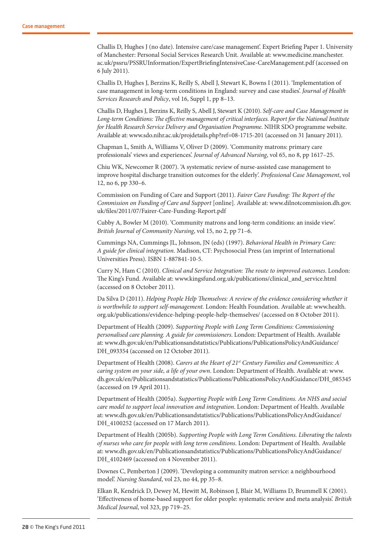Challis D, Hughes J (no date). Intensive care/case management'. Expert Briefing Paper 1. University of Manchester: Personal Social Services Research Unit. Available at: www.medicine.manchester. ac.uk/pssru/PSSRUInformation/ExpertBriefingIntensiveCase-CareManagement.pdf (accessed on 6 July 2011).

Challis D, Hughes J, Berzins K, Reilly S, Abell J, Stewart K, Bowns I (2011). 'Implementation of case management in long-term conditions in England: survey and case studies'. *Journal of Health Services Research and Policy*, vol 16, Suppl 1, pp 8–13.

Challis D, Hughes J, Berzins K, Reilly S, Abell J, Stewart K (2010). *Self-care and Case Management in Long-term Conditions: The effective management of critical interfaces. Report for the National Institute for Health Research Service Delivery and Organisation Programme*. NIHR SDO programme website. Available at: www.sdo.nihr.ac.uk/projdetails.php?ref=08-1715-201 (accessed on 31 January 2011).

Chapman L, Smith A, Williams V, Oliver D (2009). 'Community matrons: primary care professionals' views and experiences'. *Journal of Advanced Nursing*, vol 65, no 8, pp 1617–25.

Chiu WK, Newcomer R (2007). 'A systematic review of nurse-assisted case management to improve hospital discharge transition outcomes for the elderly'. *Professional Case Management*, vol 12, no 6, pp 330–6.

Commission on Funding of Care and Support (2011). *Fairer Care Funding: The Report of the Commission on Funding of Care and Support* [online]*.* Available at: www.dilnotcommission.dh.gov. uk/files/2011/07/Fairer-Care-Funding-Report.pdf

Cubby A, Bowler M (2010). 'Community matrons and long-term conditions: an inside view'. *British Journal of Community Nursing*, vol 15, no 2, pp 71–6.

Cummings NA, Cummings JL, Johnson, JN (eds) (1997). *Behavioral Health in Primary Care: A guide for clinical integration.* Madison, CT: Psychosocial Press (an imprint of International Universities Press). ISBN 1-887841-10-5.

Curry N, Ham C (2010). *Clinical and Service Integration: The route to improved outcomes*. London: The King's Fund. Available at: www.kingsfund.org.uk/publications/clinical\_and\_service.html (accessed on 8 October 2011).

Da Silva D (2011). *Helping People Help Themselves: A review of the evidence considering whether it is worthwhile to support self-management.* London: Health Foundation. Available at: www.health. org.uk/publications/evidence-helping-people-help-themselves/ (accessed on 8 October 2011).

Department of Health (2009). *Supporting People with Long Term Conditions: Commissioning personalised care planning. A guide for commissioners*. London: Department of Health. Available at: www.dh.gov.uk/en/Publicationsandstatistics/Publications/PublicationsPolicyAndGuidance/ DH\_093354 (accessed on 12 October 2011).

Department of Health (2008). *Carers at the Heart of 21st Century Families and Communities: A caring system on your side, a life of your own*. London: Department of Health. Available at: www. dh.gov.uk/en/Publicationsandstatistics/Publications/PublicationsPolicyAndGuidance/DH\_085345 (accessed on 19 April 2011).

Department of Health (2005a). *Supporting People with Long Term Conditions. An NHS and social care model to support local innovation and integration*. London: Department of Health. Available at: www.dh.gov.uk/en/Publicationsandstatistics/Publications/PublicationsPolicyAndGuidance/ DH\_4100252 (accessed on 17 March 2011).

Department of Health (2005b). *Supporting People with Long Term Conditions. Liberating the talents of nurses who care for people with long term conditions*. London: Department of Health. Available at: www.dh.gov.uk/en/Publicationsandstatistics/Publications/PublicationsPolicyAndGuidance/ DH\_4102469 (accessed on 4 November 2011).

Downes C, Pemberton J (2009). 'Developing a community matron service: a neighbourhood model'. *Nursing Standard*, vol 23, no 44, pp 35–8.

Elkan R, Kendrick D, Dewey M, Hewitt M, Robinson J, Blair M, Williams D, Brummell K (2001). 'Effectiveness of home-based support for older people: systematic review and meta analysis'. *British Medical Journal*, vol 323, pp 719–25.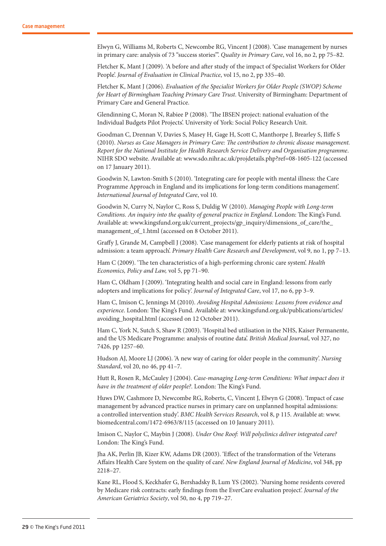Elwyn G, Williams M, Roberts C, Newcombe RG, Vincent J (2008). 'Case management by nurses in primary care: analysis of 73 "success stories"'. *Quality in Primary Care*, vol 16, no 2, pp 75–82.

Fletcher K, Mant J (2009). 'A before and after study of the impact of Specialist Workers for Older People'. *Journal of Evaluation in Clinical Practice*, vol 15, no 2, pp 335–40.

Fletcher K, Mant J (2006). *Evaluation of the Specialist Workers for Older People (SWOP) Scheme for Heart of Birmingham Teaching Primary Care Trust*. University of Birmingham: Department of Primary Care and General Practice.

Glendinning C, Moran N, Rabiee P (2008). 'The IBSEN project: national evaluation of the Individual Budgets Pilot Projects'. University of York: Social Policy Research Unit.

Goodman C, Drennan V, Davies S, Masey H, Gage H, Scott C, Manthorpe J, Brearley S, Iliffe S (2010). *Nurses as Case Managers in Primary Care: The contribution to chronic disease management. Report for the National Institute for Health Research Service Delivery and Organisation programme*. NIHR SDO website. Available at: www.sdo.nihr.ac.uk/projdetails.php?ref=08-1605-122 (accessed on 17 January 2011).

Goodwin N, Lawton-Smith S (2010). 'Integrating care for people with mental illness: the Care Programme Approach in England and its implications for long-term conditions management'. *International Journal of Integrated Care*, vol 10.

Goodwin N, Curry N, Naylor C, Ross S, Duldig W (2010). *Managing People with Long-term Conditions. An inquiry into the quality of general practice in England*. London: The King's Fund. Available at: www.kingsfund.org.uk/current\_projects/gp\_inquiry/dimensions\_of\_care/the\_ management of 1.html (accessed on 8 October 2011).

Graffy J, Grande M, Campbell J (2008). 'Case management for elderly patients at risk of hospital admission: a team approach'. *Primary Health Care Research and Development*, vol 9, no 1, pp 7–13.

Ham C (2009). 'The ten characteristics of a high-performing chronic care system'. *Health Economics, Policy and Law,* vol 5, pp 71–90.

Ham C, Oldham J (2009). 'Integrating health and social care in England: lessons from early adopters and implications for policy'. *Journal of Integrated Care*, vol 17, no 6, pp 3–9.

Ham C, Imison C, Jennings M (2010). *Avoiding Hospital Admissions: Lessons from evidence and experience*. London: The King's Fund. Available at: www.kingsfund.org.uk/publications/articles/ avoiding\_hospital.html (accessed on 12 October 2011).

Ham C, York N, Sutch S, Shaw R (2003). 'Hospital bed utilisation in the NHS, Kaiser Permanente, and the US Medicare Programme: analysis of routine data'. *British Medical Journal*, vol 327, no 7426, pp 1257–60.

Hudson AJ, Moore LJ (2006). 'A new way of caring for older people in the community'. *Nursing Standard*, vol 20, no 46, pp 41–7.

Hutt R, Rosen R, McCauley J (2004). *Case-managing Long-term Conditions: What impact does it have in the treatment of older people?*. London: The King's Fund.

Huws DW, Cashmore D, Newcombe RG, Roberts, C, Vincent J, Elwyn G (2008). 'Impact of case management by advanced practice nurses in primary care on unplanned hospital admissions: a controlled intervention study'. *BMC Health Services Research*, vol 8, p 115. Available at: www. biomedcentral.com/1472-6963/8/115 (accessed on 10 January 2011).

Imison C, Naylor C, Maybin J (2008). *Under One Roof: Will polyclinics deliver integrated care?* London: The King's Fund.

Jha AK, Perlin JB, Kizer KW, Adams DR (2003). 'Effect of the transformation of the Veterans Affairs Health Care System on the quality of care'. *New England Journal of Medicine*, vol 348, pp 2218–27.

Kane RL, Flood S, Keckhafer G, Bershadsky B, Lum YS (2002). 'Nursing home residents covered by Medicare risk contracts: early findings from the EverCare evaluation project'. *Journal of the American Geriatrics Society*, vol 50, no 4, pp 719–27.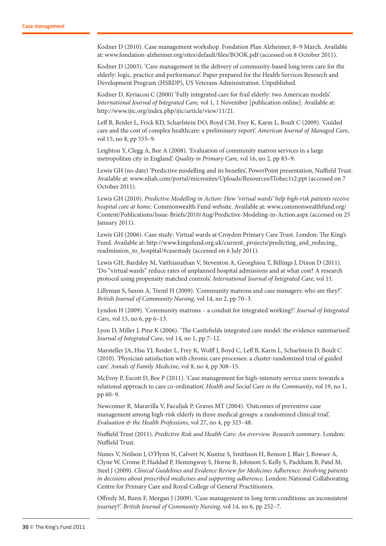Kodner D (2010). Case management workshop. Fondation Plan Alzheimer, 8–9 March. Available at: www.fondation-alzheimer.org/sites/default/files/BOOK.pdf (accessed on 8 October 2011).

Kodner D (2003). 'Care management in the delivery of community-based long term care for the elderly: logic, practice and performance'. Paper prepared for the Health Services Research and Development Program (HSRDP), US Veterans Administration. Unpublished.

Kodner D, Kyriacou C (2000) 'Fully integrated care for frail elderly: two American models'. *International Journal of Integrated Care,* vol 1, 1 November [publication online]. Available at: http://www.ijic.org/index.php/ijic/article/view/11/21.

Leff B, Reider L, Frick KD, Scharfstein DO, Boyd CM, Frey K, Karm L, Boult C (2009). 'Guided care and the cost of complex healthcare: a preliminary report'. *American Journal of Managed Care*, vol 15, no 8, pp 555–9.

Leighton Y, Clegg A, Bee A (2008). 'Evaluation of community matron services in a large metropolitan city in England'. *Quality in Primary Care*, vol 16, no 2, pp 83–9.

Lewis GH (no date) 'Predictive modelling and its benefits', PowerPoint presentation, Nuffield Trust. Available at: www.nliah.com/portal/microsites/Uploads/Resources/lTohec1r2.ppt (accessed on 7 October 2011).

Lewis GH (2010). *Predictive Modelling in Action: How 'virtual wards' help high-risk patients receive hospital care at home*. Commonwealth Fund website. Available at: www.commonwealthfund.org/ Content/Publications/Issue-Briefs/2010/Aug/Predictive-Modeling-in-Action.aspx (accessed on 25 January 2011).

Lewis GH (2006). Case study: Virtual wards at Croydon Primary Care Trust. London: The King's Fund. Available at: http://www.kingsfund.org.uk/current\_projects/predicting\_and\_reducing\_ readmission\_to\_hospital/#casestudy (accessed on 6 July 2011).

Lewis GH, Bardsley M, Vaithianathan V, Steventon A, Georghiou T, Billings J, Dixon D (2011). 'Do "virtual wards" reduce rates of unplanned hospital admissions and at what cost? A research protocol using propensity matched controls'. *International Journal of Integrated Care*, vol 11.

Lillyman S, Saxon A, Treml H (2009). 'Community matrons and case managers: who are they?'. *British Journal of Community Nursing*, vol 14, no 2, pp 70–3.

Lyndon H (2009). 'Community matrons – a conduit for integrated working?'. *Journal of Integrated Care*, vol 15, no 6, pp 6–13.

Lyon D, Miller J, Pine K (2006). 'The Castlefields integrated care model: the evidence summarised'. *Journal of Integrated Care*, vol 14, no 1, pp 7–12.

Marsteller JA, Hsu YJ, Reider L, Frey K, Wolff J, Boyd C, Leff B, Karm L, Scharfstein D, Boult C (2010). 'Physician satisfaction with chronic care processes: a cluster-randomized trial of guided care'. *Annals of Family Medicine*, vol 8, no 4, pp 308–15.

McEvoy P, Escott D, Bee P (2011). 'Case management for high-intensity service users: towards a relational approach to care co-ordination'. *Health and Social Care in the Community*, vol 19, no 1, pp 60–9.

Newcomer R, Maravilla V, Faculjak P, Graves MT (2004). 'Outcomes of preventive case management among high-risk elderly in three medical groups: a randomized clinical trial'. *Evaluation & the Health Professions*, vol 27, no 4, pp 323–48.

Nuffield Trust (2011). *Predictive Risk and Health Care: An overview. Research summary*. London: Nuffield Trust.

Nunes V, Neilson J, O'Flynn N, Calvert N, Kuntze S, Smithson H, Benson J, Blair J, Bowser A, Clyne W, Crome P, Haddad P, Hemingway S, Horne R, Johnson S, Kelly S, Packham B, Patel M, Steel J (2009). *Clinical Guidelines and Evidence Review for Medicines Adherence: Involving patients in decisions about prescribed medicines and supporting adherence*. London: National Collaborating Centre for Primary Care and Royal College of General Practitioners.

Offredy M, Bunn F, Morgan J (2009). 'Case management in long term conditions: an inconsistent journey?'. *British Journal of Community Nursing*, vol 14, no 6, pp 252–7.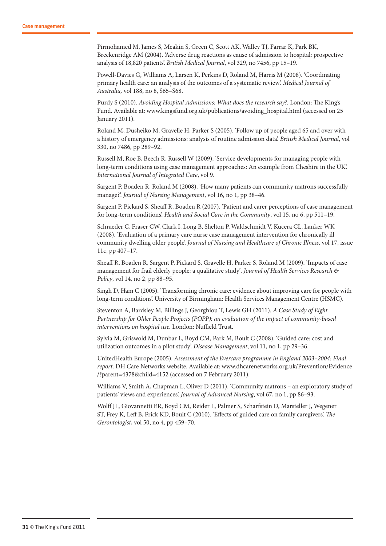Pirmohamed M, James S, Meakin S, Green C, Scott AK, Walley TJ, Farrar K, Park BK, Breckenridge AM (2004). 'Adverse drug reactions as cause of admission to hospital: prospective analysis of 18,820 patients'. *British Medical Journal*, vol 329, no 7456, pp 15–19.

Powell-Davies G, Williams A, Larsen K, Perkins D, Roland M, Harris M (2008). 'Coordinating primary health care: an analysis of the outcomes of a systematic review'. *Medical Journal of Australia,* vol 188, no 8, S65–S68.

Purdy S (2010). *Avoiding Hospital Admissions: What does the research say?.* London: The King's Fund. Available at: www.kingsfund.org.uk/publications/avoiding\_hospital.html (accessed on 25 January 2011).

Roland M, Dusheiko M, Gravelle H, Parker S (2005). 'Follow up of people aged 65 and over with a history of emergency admissions: analysis of routine admission data'. *British Medical Journal*, vol 330, no 7486, pp 289–92.

Russell M, Roe B, Beech R, Russell W (2009). 'Service developments for managing people with long-term conditions using case management approaches: An example from Cheshire in the UK'. *International Journal of Integrated Care*, vol 9.

Sargent P, Boaden R, Roland M (2008). 'How many patients can community matrons successfully manage?'. *Journal of Nursing Management*, vol 16, no 1, pp 38–46.

Sargent P, Pickard S, Sheaff R, Boaden R (2007). 'Patient and carer perceptions of case management for long-term conditions'. *Health and Social Care in the Community*, vol 15, no 6, pp 511–19.

Schraeder C, Fraser CW, Clark I, Long B, Shelton P, Waldschmidt V, Kucera CL, Lanker WK (2008). 'Evaluation of a primary care nurse case management intervention for chronically ill community dwelling older people'. *Journal of Nursing and Healthcare of Chronic Illness*, vol 17, issue 11c, pp 407–17.

Sheaff R, Boaden R, Sargent P, Pickard S, Gravelle H, Parker S, Roland M (2009). 'Impacts of case management for frail elderly people: a qualitative study'*. Journal of Health Services Research & Policy*, vol 14, no 2, pp 88–95.

Singh D, Ham C (2005). 'Transforming chronic care: evidence about improving care for people with long-term conditions'. University of Birmingham: Health Services Management Centre (HSMC).

Steventon A, Bardsley M, Billings J, Georghiou T, Lewis GH (2011). *A Case Study of Eight Partnership for Older People Projects (POPP): an evaluation of the impact of community-based interventions on hospital use.* London: Nuffield Trust.

Sylvia M, Griswold M, Dunbar L, Boyd CM, Park M, Boult C (2008). 'Guided care: cost and utilization outcomes in a pilot study'. *Disease Management*, vol 11, no 1, pp 29–36.

UnitedHealth Europe (2005). *Assessment of the Evercare programme in England 2003–2004: Final report*. DH Care Networks website. Available at: www.dhcarenetworks.org.uk/Prevention/Evidence /?parent=4378&child=4152 (accessed on 7 February 2011).

Williams V, Smith A, Chapman L, Oliver D (2011). 'Community matrons – an exploratory study of patients' views and experiences'. *Journal of Advanced Nursing*, vol 67, no 1, pp 86–93.

Wolff JL, Giovannetti ER, Boyd CM, Reider L, Palmer S, Scharfstein D, Marsteller J, Wegener ST, Frey K, Leff B, Frick KD, Boult C (2010). 'Effects of guided care on family caregivers'. *The Gerontologist*, vol 50, no 4, pp 459–70.